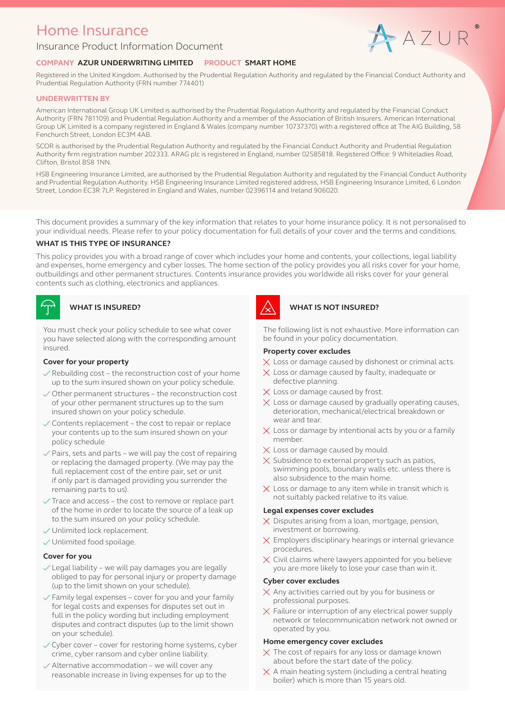## Home Insurance

#### Insurance Product Information Document

# AAZUR

#### **COMPANY AZUR UNDERWRITING LIMITED PRODUCT SMART HOME**

Registered in the United Kingdom. Authorised by the Prudential Regulation Authority and regulated by the Financial Conduct Authority and Prudential Regulation Authority (FRN number 774401)

#### **UNDERWRITTEN BY**

American International Group UK Limited is authorised by the Prudential Regulation Authority and regulated by the Financial Conduct Authority (FRN 781109) and Prudential Regulation Authority and a member of the Association of British Insurers. American International Group UK Limited is a company registered in England & Wales (company number 10737370) with a registered office at The AIG Building, 58 Fenchurch Street, London EC3M 4AB.

SCOR is authorised by the Prudential Regulation Authority and regulated by the Financial Conduct Authority and Prudential Regulation Authority firm registration number 202333. ARAG plc is registered in England, number 02585818. Registered Office: 9 Whiteladies Road, Clifton, Bristol BS8 1NN.

HSB Engineering Insurance Limited, are authorised by the Prudential Regulation Authority and regulated by the Financial Conduct Authority and Prudential Regulation Authority. HSB Engineering Insurance Limited registered address, HSB Engineering Insurance Limited, 6 London Street, London EC3R 7LP. Registered in England and Wales, number 02396114 and Ireland 906020.

This document provides a summary of the key information that relates to your home insurance policy. It is not personalised to your individual needs. Please refer to your policy documentation for full details of your cover and the terms and conditions.

#### **WHAT IS THIS TYPE OF INSURANCE?**

This policy provides you with a broad range of cover which includes your home and contents, your collections, legal liability and expenses, home emergency and cyber losses. The home section of the policy provides you all risks cover for your home, outbuildings and other permanent structures. Contents insurance provides you worldwide all risks cover for your general contents such as clothing, electronics and appliances.



You must check your policy schedule to see what cover you have selected along with the corresponding amount insured.

#### **Cover for your property**

- $\vee$  Rebuilding cost the reconstruction cost of your home up to the sum insured shown on your policy schedule.
- $\vee$  Other permanent structures the reconstruction cost of your other permanent structures up to the sum insured shown on your policy schedule.
- $\vee$  Contents replacement the cost to repair or replace your contents up to the sum insured shown on your policy schedule
- $\vee$  Pairs, sets and parts we will pay the cost of repairing or replacing the damaged property. (We may pay the full replacement cost of the entire pair, set or unit if only part is damaged providing you surrender the remaining parts to us).
- $\sqrt{ }$  Trace and access the cost to remove or replace part of the home in order to locate the source of a leak up to the sum insured on your policy schedule.
- $\vee$  Unlimited lock replacement.
- $\vee$  Unlimited food spoilage.

#### **Cover for you**

- $\vee$  Legal liability we will pay damages you are legally obliged to pay for personal injury or property damage (up to the limit shown on your schedule).
- $\sqrt{\frac{2}{1}}$  Family legal expenses cover for you and your family for legal costs and expenses for disputes set out in full in the policy wording but including employment disputes and contract disputes (up to the limit shown on your schedule).
- $\sqrt{\overline{C}}$  Cyber cover cover for restoring home systems, cyber crime, cyber ransom and cyber online liability.
- $\sqrt{\ }$  Alternative accommodation we will cover any reasonable increase in living expenses for up to the



#### **WHAT IS INSURED? WHAT IS NOT INSURED?**

The following list is not exhaustive. More information can be found in your policy documentation.

#### **Property cover excludes**

- $\times$  Loss or damage caused by dishonest or criminal acts.
- $\times$  Loss or damage caused by faulty, inadequate or defective planning.
- $\times$  Loss or damage caused by frost.
- $\times$  Loss or damage caused by gradually operating causes, deterioration, mechanical/electrical breakdown or wear and tear.
- $\times$  Loss or damage by intentional acts by you or a family member.
- $\times$  Loss or damage caused by mould.
- $\times$  Subsidence to external property such as patios, swimming pools, boundary walls etc. unless there is also subsidence to the main home.
- $\times$  Loss or damage to any item while in transit which is not suitably packed relative to its value.

#### **Legal expenses cover excludes**

- $\times$  Disputes arising from a loan, mortgage, pension, investment or borrowing.
- $\times$  Employers disciplinary hearings or internal grievance procedures.
- $\times$  Civil claims where lawyers appointed for you believe you are more likely to lose your case than win it.

#### **Cyber cover excludes**

- $\times$  Any activities carried out by you for business or professional purposes.
- $\times$  Failure or interruption of any electrical power supply network or telecommunication network not owned or operated by you.

#### **Home emergency cover excludes**

- $\times$  The cost of repairs for any loss or damage known about before the start date of the policy.
- $\times$  A main heating system (including a central heating boiler) which is more than 15 years old.